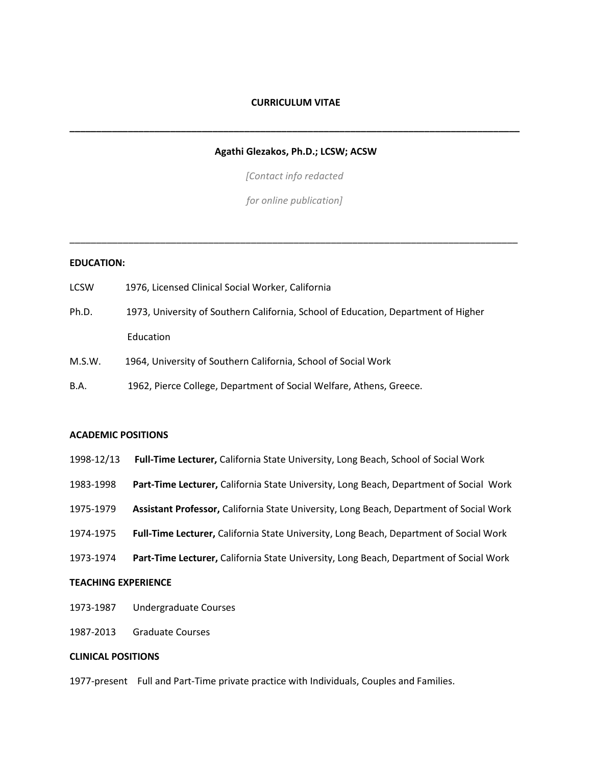#### **CURRICULUM VITAE**

### **Agathi Glezakos, Ph.D.; LCSW; ACSW**

**\_\_\_\_\_\_\_\_\_\_\_\_\_\_\_\_\_\_\_\_\_\_\_\_\_\_\_\_\_\_\_\_\_\_\_\_\_\_\_\_\_\_\_\_\_\_\_\_\_\_\_\_\_\_\_\_\_\_\_\_\_\_\_\_\_\_\_\_\_\_\_\_\_\_\_\_\_\_\_\_\_\_\_\_\_**

*[Contact info redacted*

*for online publication]* 

\_\_\_\_\_\_\_\_\_\_\_\_\_\_\_\_\_\_\_\_\_\_\_\_\_\_\_\_\_\_\_\_\_\_\_\_\_\_\_\_\_\_\_\_\_\_\_\_\_\_\_\_\_\_\_\_\_\_\_\_\_\_\_\_\_\_\_\_\_\_\_\_\_\_\_\_\_\_\_\_\_\_\_\_

#### **EDUCATION:**

- LCSW 1976, Licensed Clinical Social Worker, California Ph.D. 1973, University of Southern California, School of Education, Department of Higher Education
- M.S.W. 1964, University of Southern California, School of Social Work
- B.A. 1962, Pierce College, Department of Social Welfare, Athens, Greece.

#### **ACADEMIC POSITIONS**

- 1998-12/13 **Full-Time Lecturer,** California State University, Long Beach, School of Social Work
- 1983-1998 **Part-Time Lecturer,** California State University, Long Beach, Department of Social Work
- 1975-1979 **Assistant Professor,** California State University, Long Beach, Department of Social Work
- 1974-1975 **Full-Time Lecturer,** California State University, Long Beach, Department of Social Work
- 1973-1974 **Part-Time Lecturer,** California State University, Long Beach, Department of Social Work

#### **TEACHING EXPERIENCE**

- 1973-1987 Undergraduate Courses
- 1987-2013 Graduate Courses

#### **CLINICAL POSITIONS**

1977-present Full and Part-Time private practice with Individuals, Couples and Families.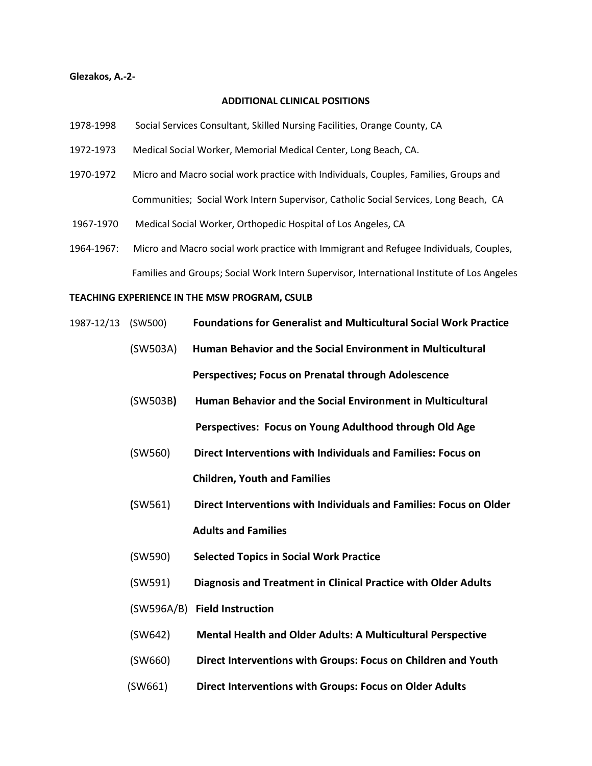#### **Glezakos, A.-2-**

# **ADDITIONAL CLINICAL POSITIONS**

- 1978-1998 Social Services Consultant, Skilled Nursing Facilities, Orange County, CA
- 1972-1973 Medical Social Worker, Memorial Medical Center, Long Beach, CA.
- 1970-1972 Micro and Macro social work practice with Individuals, Couples, Families, Groups and Communities; Social Work Intern Supervisor, Catholic Social Services, Long Beach, CA
- 1967-1970 Medical Social Worker, Orthopedic Hospital of Los Angeles, CA
- 1964-1967: Micro and Macro social work practice with Immigrant and Refugee Individuals, Couples, Families and Groups; Social Work Intern Supervisor, International Institute of Los Angeles

# **TEACHING EXPERIENCE IN THE MSW PROGRAM, CSULB**

- 1987-12/13 (SW500) **Foundations for Generalist and Multicultural Social Work Practice**
	- (SW503A) **Human Behavior and the Social Environment in Multicultural Perspectives; Focus on Prenatal through Adolescence**
	- (SW503B**) Human Behavior and the Social Environment in Multicultural Perspectives: Focus on Young Adulthood through Old Age**
	- (SW560) **Direct Interventions with Individuals and Families: Focus on Children, Youth and Families**
	- **(**SW561) **Direct Interventions with Individuals and Families: Focus on Older Adults and Families**
	- (SW590) **Selected Topics in Social Work Practice**
	- (SW591) **Diagnosis and Treatment in Clinical Practice with Older Adults**
	- (SW596A/B) **Field Instruction**
	- (SW642) **Mental Health and Older Adults: A Multicultural Perspective**
	- (SW660) **Direct Interventions with Groups: Focus on Children and Youth**
	- (SW661) **Direct Interventions with Groups: Focus on Older Adults**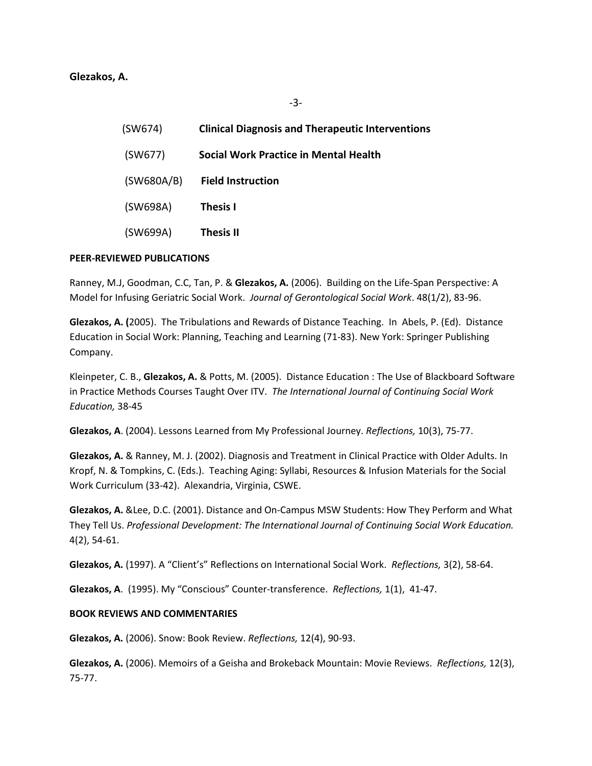| (SW674)    | <b>Clinical Diagnosis and Therapeutic Interventions</b> |
|------------|---------------------------------------------------------|
| (SW677)    | Social Work Practice in Mental Health                   |
| (SW680A/B) | <b>Field Instruction</b>                                |
| (SW698A)   | <b>Thesis I</b>                                         |
| (SW699A)   | Thesis II                                               |

-3-

# **PEER-REVIEWED PUBLICATIONS**

Ranney, M.J, Goodman, C.C, Tan, P. & **Glezakos, A.** (2006). Building on the Life-Span Perspective: A Model for Infusing Geriatric Social Work. *Journal of Gerontological Social Work*. 48(1/2), 83-96.

**Glezakos, A. (**2005). The Tribulations and Rewards of Distance Teaching. In Abels, P. (Ed). Distance Education in Social Work: Planning, Teaching and Learning (71-83). New York: Springer Publishing Company.

Kleinpeter, C. B., **Glezakos, A.** & Potts, M. (2005). Distance Education : The Use of Blackboard Software in Practice Methods Courses Taught Over ITV. *The International Journal of Continuing Social Work Education,* 38-45

**Glezakos, A**. (2004). Lessons Learned from My Professional Journey. *Reflections,* 10(3), 75-77.

**Glezakos, A.** & Ranney, M. J. (2002). Diagnosis and Treatment in Clinical Practice with Older Adults. In Kropf, N. & Tompkins, C. (Eds.). Teaching Aging: Syllabi, Resources & Infusion Materials for the Social Work Curriculum (33-42). Alexandria, Virginia, CSWE.

**Glezakos, A.** &Lee, D.C. (2001). Distance and On-Campus MSW Students: How They Perform and What They Tell Us. *Professional Development: The International Journal of Continuing Social Work Education.*  4(2), 54-61.

**Glezakos, A.** (1997). A "Client's" Reflections on International Social Work. *Reflections,* 3(2), 58-64.

**Glezakos, A**. (1995). My "Conscious" Counter-transference. *Reflections,* 1(1), 41-47.

# **BOOK REVIEWS AND COMMENTARIES**

**Glezakos, A.** (2006). Snow: Book Review. *Reflections,* 12(4), 90-93.

**Glezakos, A.** (2006). Memoirs of a Geisha and Brokeback Mountain: Movie Reviews. *Reflections,* 12(3), 75-77.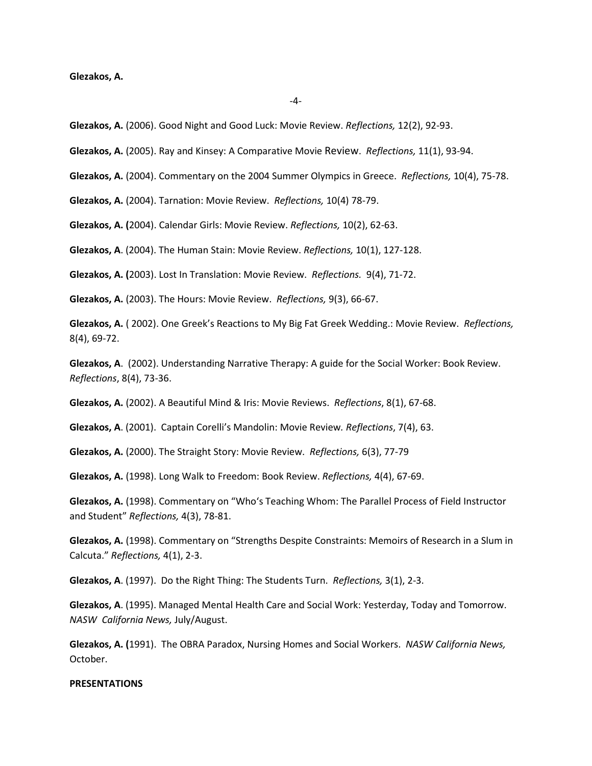**Glezakos, A.** (2006). Good Night and Good Luck: Movie Review. *Reflections,* 12(2), 92-93.

- **Glezakos, A.** (2005). Ray and Kinsey: A Comparative Movie Review. *Reflections,* 11(1), 93-94.
- **Glezakos, A.** (2004). Commentary on the 2004 Summer Olympics in Greece. *Reflections,* 10(4), 75-78.

**Glezakos, A.** (2004). Tarnation: Movie Review. *Reflections,* 10(4) 78-79.

**Glezakos, A. (**2004). Calendar Girls: Movie Review. *Reflections,* 10(2), 62-63.

**Glezakos, A**. (2004). The Human Stain: Movie Review. *Reflections,* 10(1), 127-128.

**Glezakos, A. (**2003). Lost In Translation: Movie Review. *Reflections.* 9(4), 71-72.

**Glezakos, A.** (2003). The Hours: Movie Review. *Reflections,* 9(3), 66-67.

**Glezakos, A.** ( 2002). One Greek's Reactions to My Big Fat Greek Wedding.: Movie Review. *Reflections,*  8(4), 69-72.

**Glezakos, A**. (2002). Understanding Narrative Therapy: A guide for the Social Worker: Book Review. *Reflections*, 8(4), 73-36.

**Glezakos, A.** (2002). A Beautiful Mind & Iris: Movie Reviews. *Reflections*, 8(1), 67-68.

**Glezakos, A**. (2001). Captain Corelli's Mandolin: Movie Review*. Reflections*, 7(4), 63.

**Glezakos, A.** (2000). The Straight Story: Movie Review. *Reflections,* 6(3), 77-79

**Glezakos, A.** (1998). Long Walk to Freedom: Book Review. *Reflections,* 4(4), 67-69.

**Glezakos, A.** (1998). Commentary on "Who's Teaching Whom: The Parallel Process of Field Instructor and Student" *Reflections,* 4(3), 78-81.

**Glezakos, A.** (1998). Commentary on "Strengths Despite Constraints: Memoirs of Research in a Slum in Calcuta." *Reflections,* 4(1), 2-3.

**Glezakos, A**. (1997). Do the Right Thing: The Students Turn. *Reflections,* 3(1), 2-3.

**Glezakos, A**. (1995). Managed Mental Health Care and Social Work: Yesterday, Today and Tomorrow. *NASW California News,* July/August.

**Glezakos, A. (**1991). The OBRA Paradox, Nursing Homes and Social Workers. *NASW California News,*  October.

#### **PRESENTATIONS**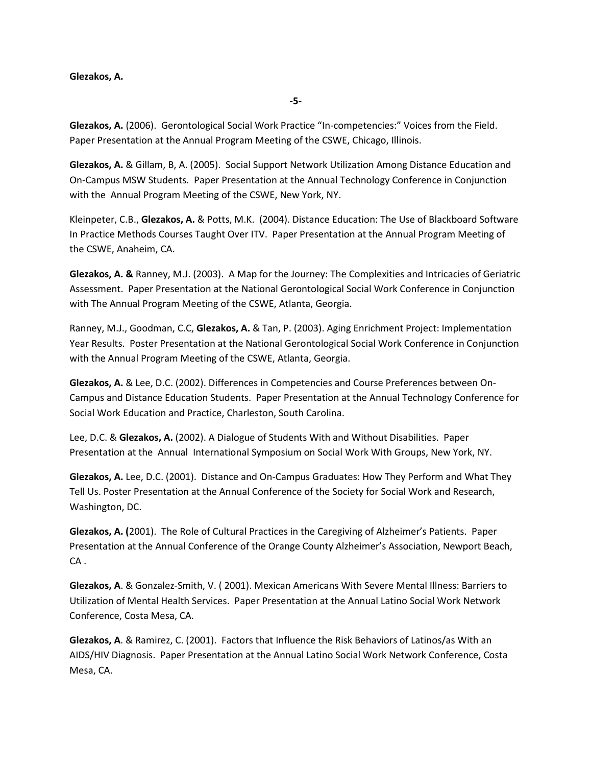**Glezakos, A.** (2006). Gerontological Social Work Practice "In-competencies:" Voices from the Field. Paper Presentation at the Annual Program Meeting of the CSWE, Chicago, Illinois.

**Glezakos, A.** & Gillam, B, A. (2005). Social Support Network Utilization Among Distance Education and On-Campus MSW Students. Paper Presentation at the Annual Technology Conference in Conjunction with the Annual Program Meeting of the CSWE, New York, NY.

Kleinpeter, C.B., **Glezakos, A.** & Potts, M.K. (2004). Distance Education: The Use of Blackboard Software In Practice Methods Courses Taught Over ITV. Paper Presentation at the Annual Program Meeting of the CSWE, Anaheim, CA.

**Glezakos, A. &** Ranney, M.J. (2003). A Map for the Journey: The Complexities and Intricacies of Geriatric Assessment. Paper Presentation at the National Gerontological Social Work Conference in Conjunction with The Annual Program Meeting of the CSWE, Atlanta, Georgia.

Ranney, M.J., Goodman, C.C, **Glezakos, A.** & Tan, P. (2003). Aging Enrichment Project: Implementation Year Results. Poster Presentation at the National Gerontological Social Work Conference in Conjunction with the Annual Program Meeting of the CSWE, Atlanta, Georgia.

**Glezakos, A.** & Lee, D.C. (2002). Differences in Competencies and Course Preferences between On-Campus and Distance Education Students. Paper Presentation at the Annual Technology Conference for Social Work Education and Practice, Charleston, South Carolina.

Lee, D.C. & **Glezakos, A.** (2002). A Dialogue of Students With and Without Disabilities. Paper Presentation at the Annual International Symposium on Social Work With Groups, New York, NY.

**Glezakos, A.** Lee, D.C. (2001). Distance and On-Campus Graduates: How They Perform and What They Tell Us. Poster Presentation at the Annual Conference of the Society for Social Work and Research, Washington, DC.

**Glezakos, A. (**2001). The Role of Cultural Practices in the Caregiving of Alzheimer's Patients. Paper Presentation at the Annual Conference of the Orange County Alzheimer's Association, Newport Beach, CA .

**Glezakos, A**. & Gonzalez-Smith, V. ( 2001). Mexican Americans With Severe Mental Illness: Barriers to Utilization of Mental Health Services. Paper Presentation at the Annual Latino Social Work Network Conference, Costa Mesa, CA.

**Glezakos, A**. & Ramirez, C. (2001). Factors that Influence the Risk Behaviors of Latinos/as With an AIDS/HIV Diagnosis. Paper Presentation at the Annual Latino Social Work Network Conference, Costa Mesa, CA.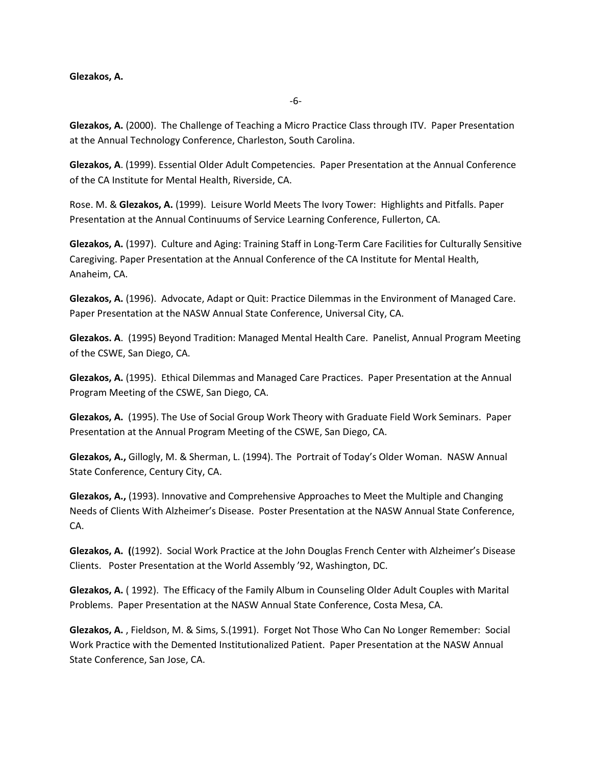**Glezakos, A.** (2000). The Challenge of Teaching a Micro Practice Class through ITV. Paper Presentation at the Annual Technology Conference, Charleston, South Carolina.

**Glezakos, A**. (1999). Essential Older Adult Competencies. Paper Presentation at the Annual Conference of the CA Institute for Mental Health, Riverside, CA.

Rose. M. & **Glezakos, A.** (1999). Leisure World Meets The Ivory Tower: Highlights and Pitfalls. Paper Presentation at the Annual Continuums of Service Learning Conference, Fullerton, CA.

**Glezakos, A.** (1997). Culture and Aging: Training Staff in Long-Term Care Facilities for Culturally Sensitive Caregiving. Paper Presentation at the Annual Conference of the CA Institute for Mental Health, Anaheim, CA.

**Glezakos, A.** (1996). Advocate, Adapt or Quit: Practice Dilemmas in the Environment of Managed Care. Paper Presentation at the NASW Annual State Conference, Universal City, CA.

**Glezakos. A**. (1995) Beyond Tradition: Managed Mental Health Care. Panelist, Annual Program Meeting of the CSWE, San Diego, CA.

**Glezakos, A.** (1995). Ethical Dilemmas and Managed Care Practices. Paper Presentation at the Annual Program Meeting of the CSWE, San Diego, CA.

**Glezakos, A.** (1995). The Use of Social Group Work Theory with Graduate Field Work Seminars. Paper Presentation at the Annual Program Meeting of the CSWE, San Diego, CA.

**Glezakos, A.,** Gillogly, M. & Sherman, L. (1994). The Portrait of Today's Older Woman. NASW Annual State Conference, Century City, CA.

**Glezakos, A.,** (1993). Innovative and Comprehensive Approaches to Meet the Multiple and Changing Needs of Clients With Alzheimer's Disease. Poster Presentation at the NASW Annual State Conference, CA.

**Glezakos, A. (**(1992). Social Work Practice at the John Douglas French Center with Alzheimer's Disease Clients. Poster Presentation at the World Assembly '92, Washington, DC.

**Glezakos, A.** ( 1992). The Efficacy of the Family Album in Counseling Older Adult Couples with Marital Problems. Paper Presentation at the NASW Annual State Conference, Costa Mesa, CA.

**Glezakos, A.** , Fieldson, M. & Sims, S.(1991). Forget Not Those Who Can No Longer Remember: Social Work Practice with the Demented Institutionalized Patient. Paper Presentation at the NASW Annual State Conference, San Jose, CA.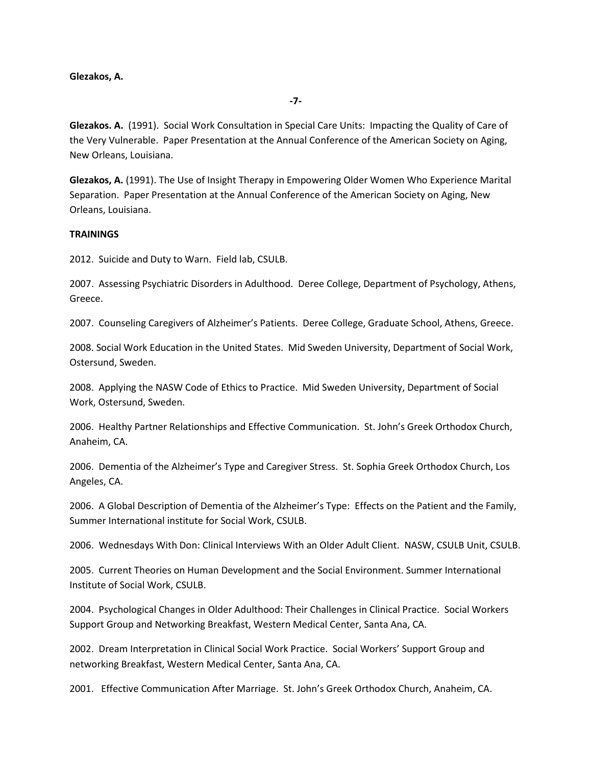**Glezakos. A.** (1991). Social Work Consultation in Special Care Units: Impacting the Quality of Care of the Very Vulnerable. Paper Presentation at the Annual Conference of the American Society on Aging, New Orleans, Louisiana.

**Glezakos, A.** (1991). The Use of Insight Therapy in Empowering Older Women Who Experience Marital Separation. Paper Presentation at the Annual Conference of the American Society on Aging, New Orleans, Louisiana.

### **TRAININGS**

2012. Suicide and Duty to Warn. Field lab, CSULB.

2007. Assessing Psychiatric Disorders in Adulthood. Deree College, Department of Psychology, Athens, Greece.

2007. Counseling Caregivers of Alzheimer's Patients. Deree College, Graduate School, Athens, Greece.

2008. Social Work Education in the United States. Mid Sweden University, Department of Social Work, Ostersund, Sweden.

2008. Applying the NASW Code of Ethics to Practice. Mid Sweden University, Department of Social Work, Ostersund, Sweden.

2006. Healthy Partner Relationships and Effective Communication. St. John's Greek Orthodox Church, Anaheim, CA.

2006. Dementia of the Alzheimer's Type and Caregiver Stress. St. Sophia Greek Orthodox Church, Los Angeles, CA.

2006. A Global Description of Dementia of the Alzheimer's Type: Effects on the Patient and the Family, Summer International institute for Social Work, CSULB.

2006. Wednesdays With Don: Clinical Interviews With an Older Adult Client. NASW, CSULB Unit, CSULB.

2005. Current Theories on Human Development and the Social Environment. Summer International Institute of Social Work, CSULB.

2004. Psychological Changes in Older Adulthood: Their Challenges in Clinical Practice. Social Workers Support Group and Networking Breakfast, Western Medical Center, Santa Ana, CA.

2002. Dream Interpretation in Clinical Social Work Practice. Social Workers' Support Group and networking Breakfast, Western Medical Center, Santa Ana, CA.

2001. Effective Communication After Marriage. St. John's Greek Orthodox Church, Anaheim, CA.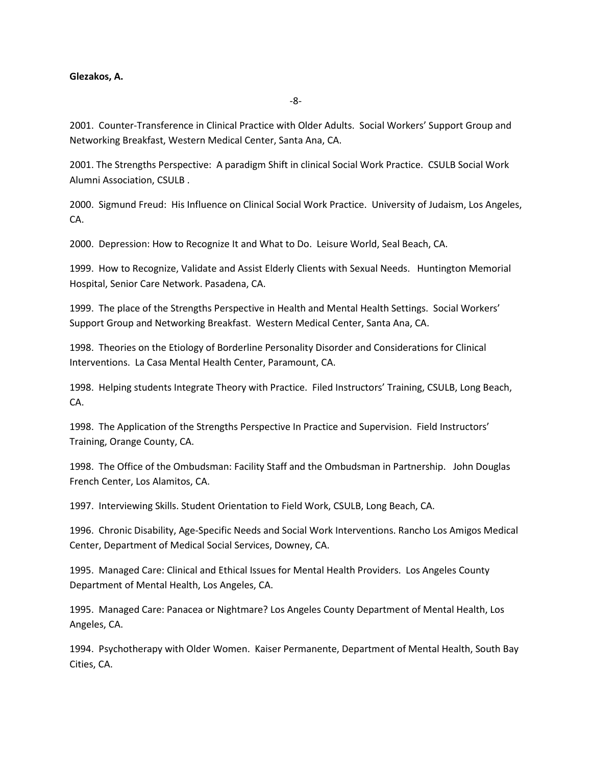2001. Counter-Transference in Clinical Practice with Older Adults. Social Workers' Support Group and Networking Breakfast, Western Medical Center, Santa Ana, CA.

2001. The Strengths Perspective: A paradigm Shift in clinical Social Work Practice. CSULB Social Work Alumni Association, CSULB .

2000. Sigmund Freud: His Influence on Clinical Social Work Practice. University of Judaism, Los Angeles, CA.

2000. Depression: How to Recognize It and What to Do. Leisure World, Seal Beach, CA.

1999. How to Recognize, Validate and Assist Elderly Clients with Sexual Needs. Huntington Memorial Hospital, Senior Care Network. Pasadena, CA.

1999. The place of the Strengths Perspective in Health and Mental Health Settings. Social Workers' Support Group and Networking Breakfast. Western Medical Center, Santa Ana, CA.

1998. Theories on the Etiology of Borderline Personality Disorder and Considerations for Clinical Interventions. La Casa Mental Health Center, Paramount, CA.

1998. Helping students Integrate Theory with Practice. Filed Instructors' Training, CSULB, Long Beach, CA.

1998. The Application of the Strengths Perspective In Practice and Supervision. Field Instructors' Training, Orange County, CA.

1998. The Office of the Ombudsman: Facility Staff and the Ombudsman in Partnership. John Douglas French Center, Los Alamitos, CA.

1997. Interviewing Skills. Student Orientation to Field Work, CSULB, Long Beach, CA.

1996. Chronic Disability, Age-Specific Needs and Social Work Interventions. Rancho Los Amigos Medical Center, Department of Medical Social Services, Downey, CA.

1995. Managed Care: Clinical and Ethical Issues for Mental Health Providers. Los Angeles County Department of Mental Health, Los Angeles, CA.

1995. Managed Care: Panacea or Nightmare? Los Angeles County Department of Mental Health, Los Angeles, CA.

1994. Psychotherapy with Older Women. Kaiser Permanente, Department of Mental Health, South Bay Cities, CA.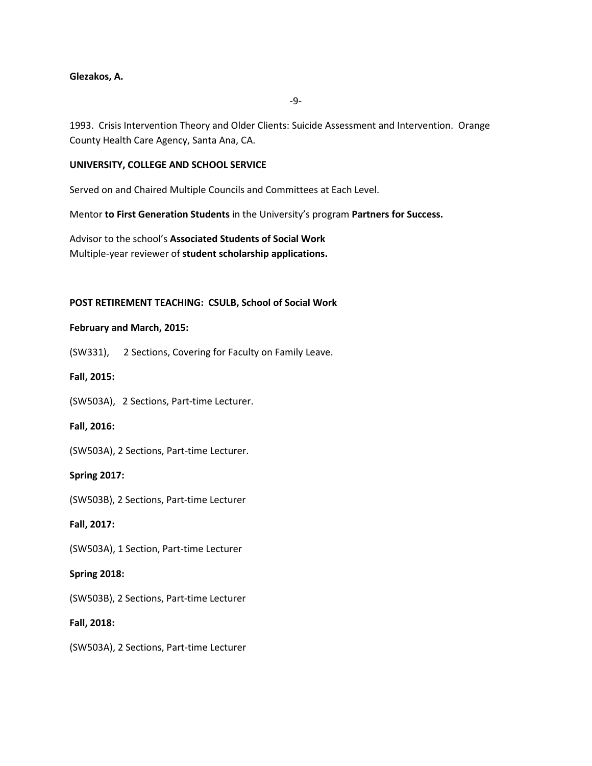-9-

1993. Crisis Intervention Theory and Older Clients: Suicide Assessment and Intervention. Orange County Health Care Agency, Santa Ana, CA.

# **UNIVERSITY, COLLEGE AND SCHOOL SERVICE**

Served on and Chaired Multiple Councils and Committees at Each Level.

Mentor **to First Generation Students** in the University's program **Partners for Success.**

Advisor to the school's **Associated Students of Social Work**  Multiple-year reviewer of **student scholarship applications.**

# **POST RETIREMENT TEACHING: CSULB, School of Social Work**

#### **February and March, 2015:**

(SW331), 2 Sections, Covering for Faculty on Family Leave.

#### **Fall, 2015:**

(SW503A), 2 Sections, Part-time Lecturer.

#### **Fall, 2016:**

(SW503A), 2 Sections, Part-time Lecturer.

#### **Spring 2017:**

(SW503B), 2 Sections, Part-time Lecturer

# **Fall, 2017:**

(SW503A), 1 Section, Part-time Lecturer

#### **Spring 2018:**

(SW503B), 2 Sections, Part-time Lecturer

**Fall, 2018:**

(SW503A), 2 Sections, Part-time Lecturer